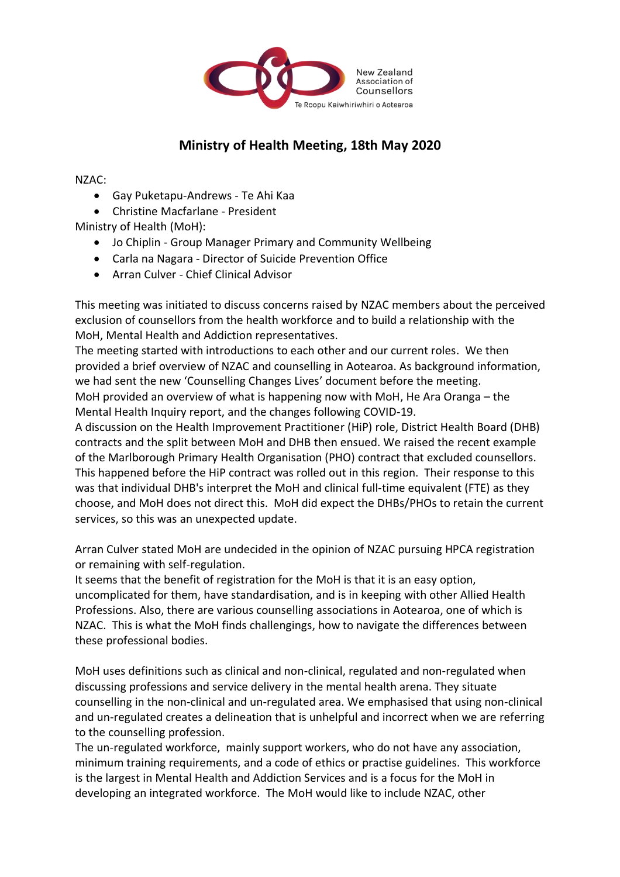

## **Ministry of Health Meeting, 18th May 2020**

NZAC:

- Gay Puketapu-Andrews Te Ahi Kaa
- Christine Macfarlane President

Ministry of Health (MoH):

- Jo Chiplin Group Manager Primary and Community Wellbeing
- Carla na Nagara Director of Suicide Prevention Office
- Arran Culver Chief Clinical Advisor

This meeting was initiated to discuss concerns raised by NZAC members about the perceived exclusion of counsellors from the health workforce and to build a relationship with the MoH, Mental Health and Addiction representatives.

The meeting started with introductions to each other and our current roles. We then provided a brief overview of NZAC and counselling in Aotearoa. As background information, we had sent the new 'Counselling Changes Lives' document before the meeting. MoH provided an overview of what is happening now with MoH, He Ara Oranga – the Mental Health Inquiry report, and the changes following COVID-19.

A discussion on the Health Improvement Practitioner (HiP) role, District Health Board (DHB) contracts and the split between MoH and DHB then ensued. We raised the recent example of the Marlborough Primary Health Organisation (PHO) contract that excluded counsellors. This happened before the HiP contract was rolled out in this region. Their response to this was that individual DHB's interpret the MoH and clinical full-time equivalent (FTE) as they choose, and MoH does not direct this. MoH did expect the DHBs/PHOs to retain the current services, so this was an unexpected update.

Arran Culver stated MoH are undecided in the opinion of NZAC pursuing HPCA registration or remaining with self-regulation.

It seems that the benefit of registration for the MoH is that it is an easy option, uncomplicated for them, have standardisation, and is in keeping with other Allied Health Professions. Also, there are various counselling associations in Aotearoa, one of which is NZAC. This is what the MoH finds challengings, how to navigate the differences between these professional bodies.

MoH uses definitions such as clinical and non-clinical, regulated and non-regulated when discussing professions and service delivery in the mental health arena. They situate counselling in the non-clinical and un-regulated area. We emphasised that using non-clinical and un-regulated creates a delineation that is unhelpful and incorrect when we are referring to the counselling profession.

The un-regulated workforce, mainly support workers, who do not have any association, minimum training requirements, and a code of ethics or practise guidelines. This workforce is the largest in Mental Health and Addiction Services and is a focus for the MoH in developing an integrated workforce. The MoH would like to include NZAC, other